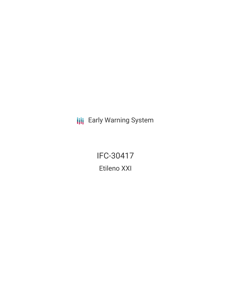**III** Early Warning System

IFC-30417 Etileno XXI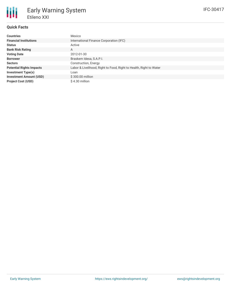# **Quick Facts**

| <b>Countries</b>                | Mexico                                                             |  |  |  |
|---------------------------------|--------------------------------------------------------------------|--|--|--|
| <b>Financial Institutions</b>   | International Finance Corporation (IFC)                            |  |  |  |
| <b>Status</b>                   | Active                                                             |  |  |  |
| <b>Bank Risk Rating</b>         | A                                                                  |  |  |  |
| <b>Voting Date</b>              | 2012-01-30                                                         |  |  |  |
| <b>Borrower</b>                 | Braskem Idesa, S.A.P.I.                                            |  |  |  |
| <b>Sectors</b>                  | Construction, Energy                                               |  |  |  |
| <b>Potential Rights Impacts</b> | Labor & Livelihood, Right to Food, Right to Health, Right to Water |  |  |  |
| <b>Investment Type(s)</b>       | Loan                                                               |  |  |  |
| <b>Investment Amount (USD)</b>  | \$300.00 million                                                   |  |  |  |
| <b>Project Cost (USD)</b>       | \$4.30 million                                                     |  |  |  |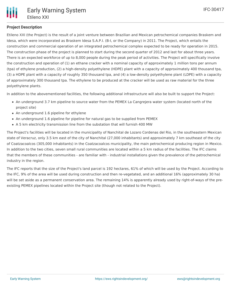# **Project Description**

Etileno XXI (the Project) is the result of a joint venture between Brazilian and Mexican petrochemical companies Braskem and Idesa, which were incorporated as Braskem Idesa S.A.P.I. (B-I, or the Company) in 2011. The Project, which entails the construction and commercial operation of an integrated petrochemical complex expected to be ready for operation in 2015. The construction phase of the project is planned to start during the second quarter of 2012 and last for about three years. There is an expected workforce of up to 8,000 people during the peak period of activities. The Project will specifically involve the construction and operation of (1) an ethane cracker with a nominal capacity of approximately 1 million tons per annum (tpa) of ethylene production, (2) a high-density polyethylene (HDPE) plant with a capacity of approximately 400 thousand tpa, (3) a HDPE plant with a capacity of roughly 350 thousand tpa, and (4) a low-density polyethylene plant (LDPE) with a capacity of approximately 300 thousand tpa. The ethylene to be produced at the cracker will be used as raw material for the three polyethylene plants.

In addition to the abovementioned facilities, the following additional infrastructure will also be built to support the Project:

- An underground 3.7 km pipeline to source water from the PEMEX La Cangrejera water system (located north of the project site)
- An underground 1.6 pipeline for ethylene
- An underground 1.6 pipeline for pipeline for natural gas to be supplied from PEMEX
- A 5 km electricity transmission line from the substation that will furnish 400 MW

The Project's facilities will be located in the municipality of Nanchital de Lozaro Cordenas del Rio, in the southeastern Mexican state of Veracruz, only 3.5 km east of the city of Nanchital (27,000 inhabitants) and approximately 7 km southeast of the city of Coatzacoalcos (305,000 inhabitants) in the Coatzacoalcos municipality, the main petrochemical producing region in Mexico. In addition to the two cities, seven small rural communities are located within a 5 km radius of the facilities. The IFC claims that the members of these communities - are familiar with - industrial installations given the prevalence of the petrochemical industry in the region.

The IFC reports that the size of the Project's land parcel is 192 hectares, 61% of which will be used by the Project. According to the IFC, 9% of the area will be used during construction and then re-vegetated, and an additional 16% (approximately 30 ha) will be set aside as a permanent conservation area. The remaining 14% is apparently already used by right-of-ways of the preexisting PEMEX pipelines located within the Project site (though not related to the Project).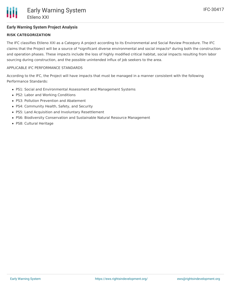# **Early Warning System Project Analysis**

## **RISK CATEGORIZATION**

The IFC classifies Etileno XXI as a Category A project according to its Environmental and Social Review Procedure. The IFC claims that the Project will be a source of \*significant diverse environmental and social impacts\* during both the construction and operation phases. These impacts include the loss of highly modified critical habitat, social impacts resulting from labor sourcing during construction, and the possible unintended influx of job seekers to the area.

### APPLICABLE IFC PERFORMANCE STANDARDS

According to the IFC, the Project will have impacts that must be managed in a manner consistent with the following Performance Standards:

- PS1: Social and Environmental Assessment and Management Systems
- PS2: Labor and Working Conditions
- PS3: Pollution Prevention and Abatement
- PS4: Community Health, Safety, and Security
- PS5: Land Acquisition and Involuntary Resettlement
- PS6: Biodiversity Conservation and Sustainable Natural Resource Management
- PS8: Cultural Heritage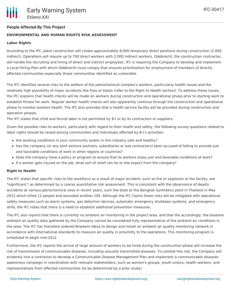# **People Affected By This Project**

## **ENVIRONMENTAL AND HUMAN RIGHTS RISK ASSESSMENT**

#### **Labor Rights**

According to the IFC, plant construction will create approximately 8,000 temporary direct positions during construction (2,000 indirect). Operations will require up to 700 direct workers with 2,000 indirect workers. Odebrecht, the construction contractor, will handle the recruiting and hiring of direct and indirect employees. IFC is requiring the Company to develop and implement a Local Hiring Plan with which Odebrecht must comply that ensures prioritization for employment of members of directly affected communities especially those communities identified as vulnerable.

The IFC identifies several risks to the welfare of the petrochemical complex's workers, particularly health issues and the relatively high possibility of major accidents like fires or blasts (refer to the Right to Health section). To address these issues, the IFC explains that health checks will be made on workers during construction and operational phase prior to starting work to establish fitness for work. Regular worker health checks will also apparently continue through the construction and operational phase to monitor workers health. The IFC also provides that a health service facility will be provided during construction and operation phases.

The IFC states that child and forced labor is not permitted by B-I or by its contractors or suppliers.

Given the possible risks to workers, particularly with regard to their health and safety, the following survey questions related to labor rights should be raised among communities and individuals affected by B-I's activities:

- Are working conditions in your community and/or in this industry safe and healthy?
- Has the company (or any joint venture partners, subsidiaries or sub-contractors) been accused of failing to provide just and favorable conditions of work in other regions or countries?
- Does the company have a policy or program to ensure that its workers enjoy just and favorable conditions of work?
- If a worker gets injured on the job, what sort of relief can he or she expect from the company?

#### **Right to Health**

The IFC states that specific risks to the workforce as a result of major accident, such as fire or explosion at the facility, are \*significant,\* as determined by a coarse quantitative risk assessment. This is consistent with the observance of deadly accidents at various petrochemical sites in recent years, such the blast at the Bangkok Synthetics plant in Thailand in May 2012 which killed 12 people and wounded another 105. Although the IFC claims these risks will be mitigated with operational safety measures such as alarm systems, gas detection devices, automatic emergency shutdown systems, and emergency drills, the IFC notes that there is a need to establish additional prevention measures.

The IFC also reports that there is currently no ambient air monitoring in the project area, and that the accordingly, the baseline ambient air quality data gathered by the Company cannot be considered fully representative of the ambient air conditions in the area. The IFC has therefore ordered Braskem Idesa to design and install an ambient air quality monitoring network in accordance with international standards to measure air quality in proximity to the operations. This monitoring program is scheduled to begin mid-2012.

Furthermore, the IFC reports the arrival of large amount of workers to be hired during the construction phase will increase the risk of transmission of communicable diseases, including sexually transmitted diseases. To combat this risk, the Company will evidently hire a contractor to develop a Communicable Disease Management Plan and implement a communicable diseases awareness campaign in coordination with relevant stakeholders, such as women's groups, youth unions, health workers, and representatives from affected communities (to be determined by a prior study).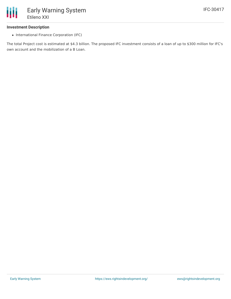

#### **Investment Description**

• International Finance Corporation (IFC)

The total Project cost is estimated at \$4.3 billion. The proposed IFC investment consists of a loan of up to \$300 million for IFC's own account and the mobilization of a B Loan.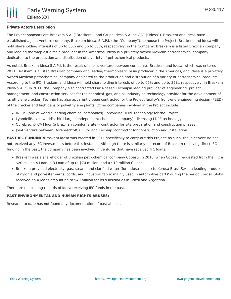# **Private Actors Description**

The Project sponsors are Braskem S.A. ("Braskem") and Grupo Idesa S.A. de C.V. ("Idesa"). Braskem and Idesa have established a joint venture company, Braskem Idesa, S.A.P.I. (the "Company"), to house the Project. Braskem and Idesa will hold shareholding interests of up to 65% and up to 35%, respectively, in the Company. Braskem is a listed Brazilian company and leading thermoplastic resin producer in the Americas. Idesa is a privately owned Mexican petrochemical company dedicated to the production and distribution of a variety of petrochemical products.

As noted, Braskem Idesa S.A.P.I. is the result of a joint venture between companies Braskem and Idesa, which was entered in 2011. Braskem is a listed Brazilian company and leading thermoplastic resin producer in the Americas, and Idesa is a privately owned Mexican petrochemical company dedicated to the production and distribution of a variety of petrochemical products. According to the IFC, Braskem and Idesa will hold shareholding interests of up to 65% and up to 35%, respectively, in Braskem Idesa S.A.PI. In 2011, the Company also contracted Paris-based Technipia leading provider of engineering, project management, and construction services for the chemical, gas, and oil industry as technology provider for the development of its ethylene cracker. Technip has also apparently been contracted for the Project facility's front-end engineering design (FEED) of the cracker and high density polyethylene plants. Other companies involved in the Project include:

- INEOS (one of world's leading chemical companies) providing HDPE technology for the Project.
- LyondellBasell (world's third-largest independent chemical company) licensing LDPE technology.
- Odrebrecht-ICA Fluor (a Brazilian conglomerate) contractor for site preparation and construction phases
- Joint venture between Odrebrecht-ICA Fluor and Technip: contractor for construction and installation

**PAST IFC FUNDING:**Braskem Idesa was created in 2011 specifically to carry out this Project; as such, the joint venture has not received any IFC investments before this instance. Although there is similarly no record of Braskem receiving direct IFC funding in the past, the company has been involved in ventures that have received IFC loans:

- Braskem was a shareholder of Brazilian petrochemical company Copesul in 2010, when Copesul requested from the IFC a \$20 million A Loan, a B Loan of up to \$70 million, and a \$10 million C Loan.
- Braskem provided electricity, gas, steam, and clarified water (for industrial use) to Kordsa Brasil S.A. a leading producer of nylon and polyester yarns, cords, and industrial fabric mainly used in automotive parts' during the period Kordsa Global received an A loans amounting to \$40 million for its subsidiaries in Brazil and Argentina.

There are no existing records of Idesa receiving IFC funds in the past.

#### **PAST ENVIRONMENTAL AND HUMAN RIGHTS ABUSES:**

Research to date has not found any documentation of past abuses.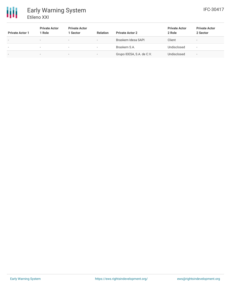# 冊 Early Warning System Etileno XXI

| <b>Private Actor 1</b>   | <b>Private Actor</b><br>1 Role | <b>Private Actor</b><br>1 Sector | <b>Relation</b>          | <b>Private Actor 2</b>    | <b>Private Actor</b><br>2 Role | <b>Private Actor</b><br>2 Sector |
|--------------------------|--------------------------------|----------------------------------|--------------------------|---------------------------|--------------------------------|----------------------------------|
| $\overline{\phantom{a}}$ | $\overline{\phantom{a}}$       | $\overline{\phantom{a}}$         | $\overline{\phantom{a}}$ | Braskem Idesa SAPI        | Client                         | $\overline{\phantom{a}}$         |
| $\,$                     |                                | $\overline{\phantom{a}}$         | $\overline{\phantom{a}}$ | Braskem S.A.              | Undisclosed                    | $\overline{\phantom{a}}$         |
| $\,$                     | -                              | $\,$                             |                          | Grupo IDESA, S.A. de C.V. | Undisclosed                    | $\,$                             |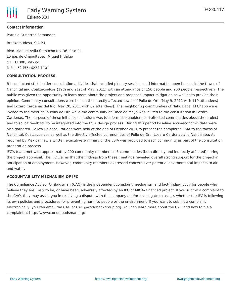## **Contact Information**

Patricio Gutierrez Fernandez

Braskem-Idesa, S.A.P.I.

Blvd. Manuel Avila Camacho No. 36, Piso 24 Lomas de Chapultepec, Miguel Hidalgo C.P. 11000, Mexico D.F.+ 52 (55) 6234 1101

#### **CONSULTATION PROCESS:**

B-I conducted stakeholder consultation activities that included plenary sessions and information open houses in the towns of Nanchital and Coatzacoalcos (19th and 21st of May, 2011) with an attendance of 150 people and 200 people, respectively. The public was given the opportunity to learn more about the project and proposed impact mitigation as well as to provide their opinion. Community consultations were held in the directly affected towns of Pollo de Oro (May 9, 2011 with 110 attendees) and Lozaro Cardenas del Rio (May 20, 2011 with 62 attendees). The neighboring communities of Nahualapa, El Chapo were invited to the meeting in Pollo de Oro while the community of Cinco de Mayo was invited to the consultation in Lozaro Cardenas. The purpose of these initial consultations was to inform stakeholders and affected communities about the project and to solicit feedback to be integrated into the ESIA design process. During this period baseline socio-economic data were also gathered. Follow-up consultations were held at the end of October 2011 to present the completed ESIA to the towns of Nanchital, Coatzacoalcos as well as the directly affected communities of Pollo de Oro, Lozaro Cardenas and Nahualapa. As required by Mexican law a written executive summary of the ESIA was provided to each community as part of the consultation preparation process.

IFC's team met with approximately 200 community members in 5 communities (both directly and indirectly affected) during the project appraisal. The IFC claims that the findings from these meetings revealed overall strong support for the project in anticipation of employment. However, community members expressed concern over potential environmental impacts to air and water.

### **ACCOUNTABILITY MECHANISM OF IFC**

The Compliance Advisor Ombudsman (CAO) is the independent complaint mechanism and fact-finding body for people who believe they are likely to be, or have been, adversely affected by an IFC or MIGA- financed project. If you submit a complaint to the CAO, they may assist you in resolving a dispute with the company and/or investigate to assess whether the IFC is following its own policies and procedures for preventing harm to people or the environment. If you want to submit a complaint electronically, you can email the CAO at CAO@worldbankgroup.org. You can learn more about the CAO and how to file a complaint at http://www.cao-ombudsman.org/